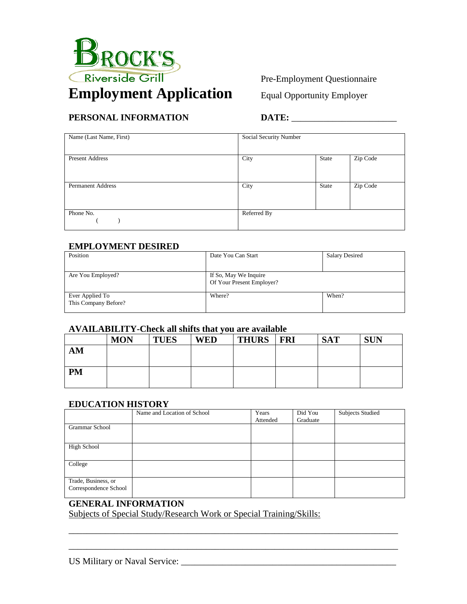

## Pre-Employment Questionnaire

# **PERSONAL INFORMATION** DATE:

| Name (Last Name, First)  | Social Security Number |       |          |
|--------------------------|------------------------|-------|----------|
|                          |                        |       |          |
| <b>Present Address</b>   | City                   | State | Zip Code |
|                          |                        |       |          |
|                          |                        |       |          |
| <b>Permanent Address</b> | City                   | State | Zip Code |
|                          |                        |       |          |
|                          |                        |       |          |
| Phone No.                | Referred By            |       |          |
|                          |                        |       |          |

#### **EMPLOYMENT DESIRED**

| Position                                | Date You Can Start                                 | <b>Salary Desired</b> |
|-----------------------------------------|----------------------------------------------------|-----------------------|
| Are You Employed?                       | If So, May We Inquire<br>Of Your Present Employer? |                       |
| Ever Applied To<br>This Company Before? | Where?                                             | When?                 |

#### **AVAILABILITY-Check all shifts that you are available**

|           | <b>MON</b> | <b>TUES</b> | <b>WED</b> | <b>THURS</b> | <b>FRI</b> | <b>SAT</b> | <b>SUN</b> |
|-----------|------------|-------------|------------|--------------|------------|------------|------------|
| AM        |            |             |            |              |            |            |            |
|           |            |             |            |              |            |            |            |
| <b>PM</b> |            |             |            |              |            |            |            |
|           |            |             |            |              |            |            |            |

#### **EDUCATION HISTORY**

|                       | Name and Location of School | Years    | Did You  | <b>Subjects Studied</b> |
|-----------------------|-----------------------------|----------|----------|-------------------------|
|                       |                             | Attended | Graduate |                         |
| Grammar School        |                             |          |          |                         |
|                       |                             |          |          |                         |
| High School           |                             |          |          |                         |
|                       |                             |          |          |                         |
| College               |                             |          |          |                         |
|                       |                             |          |          |                         |
| Trade, Business, or   |                             |          |          |                         |
| Correspondence School |                             |          |          |                         |
|                       |                             |          |          |                         |

\_\_\_\_\_\_\_\_\_\_\_\_\_\_\_\_\_\_\_\_\_\_\_\_\_\_\_\_\_\_\_\_\_\_\_\_\_\_\_\_\_\_\_\_\_\_\_\_\_\_\_\_\_\_\_\_\_\_\_\_\_\_\_\_\_\_\_\_\_\_\_\_

\_\_\_\_\_\_\_\_\_\_\_\_\_\_\_\_\_\_\_\_\_\_\_\_\_\_\_\_\_\_\_\_\_\_\_\_\_\_\_\_\_\_\_\_\_\_\_\_\_\_\_\_\_\_\_\_\_\_\_\_\_\_\_\_\_\_\_\_\_\_\_\_

# **GENERAL INFORMATION**

Subjects of Special Study/Research Work or Special Training/Skills: